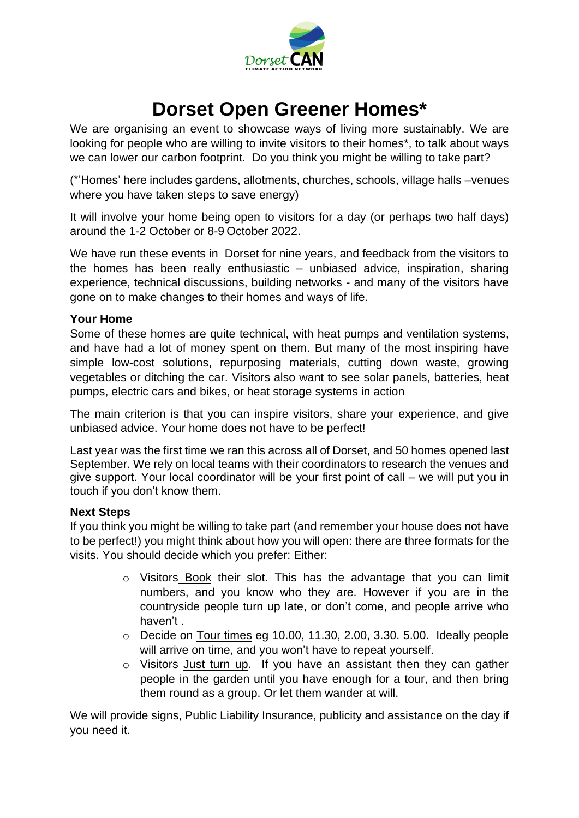

## **Dorset Open Greener Homes\***

We are organising an event to showcase ways of living more sustainably. We are looking for people who are willing to invite visitors to their homes\*, to talk about ways we can lower our carbon footprint. Do you think you might be willing to take part?

(\*'Homes' here includes gardens, allotments, churches, schools, village halls –venues where you have taken steps to save energy)

It will involve your home being open to visitors for a day (or perhaps two half days) around the 1-2 October or 8-9 October 2022.

We have run these events in Dorset for nine years, and feedback from the visitors to the homes has been really enthusiastic – unbiased advice, inspiration, sharing experience, technical discussions, building networks - and many of the visitors have gone on to make changes to their homes and ways of life.

## **Your Home**

Some of these homes are quite technical, with heat pumps and ventilation systems, and have had a lot of money spent on them. But many of the most inspiring have simple low-cost solutions, repurposing materials, cutting down waste, growing vegetables or ditching the car. Visitors also want to see solar panels, batteries, heat pumps, electric cars and bikes, or heat storage systems in action

The main criterion is that you can inspire visitors, share your experience, and give unbiased advice. Your home does not have to be perfect!

Last year was the first time we ran this across all of Dorset, and 50 homes opened last September. We rely on local teams with their coordinators to research the venues and give support. Your local coordinator will be your first point of call – we will put you in touch if you don't know them.

## **Next Steps**

If you think you might be willing to take part (and remember your house does not have to be perfect!) you might think about how you will open: there are three formats for the visits. You should decide which you prefer: Either:

- $\circ$  Visitors Book their slot. This has the advantage that you can limit numbers, and you know who they are. However if you are in the countryside people turn up late, or don't come, and people arrive who haven't .
- o Decide on Tour times eg 10.00, 11.30, 2.00, 3.30. 5.00. Ideally people will arrive on time, and you won't have to repeat yourself.
- o Visitors Just turn up. If you have an assistant then they can gather people in the garden until you have enough for a tour, and then bring them round as a group. Or let them wander at will.

We will provide signs, Public Liability Insurance, publicity and assistance on the day if you need it.